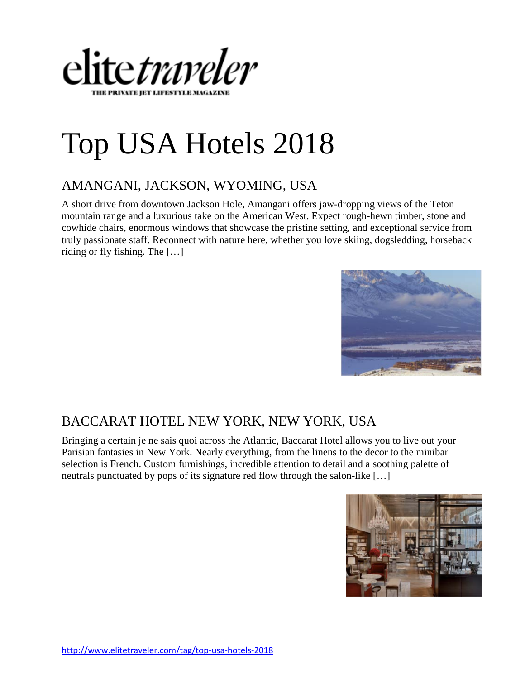

# Top USA Hotels 2018

#### [AMANGANI, JACKSON, WYOMING, USA](http://www.elitetraveler.com/top-100-hotels/amangani-jackson-wyoming-usa)

A short drive from downtown Jackson Hole, Amangani offers jaw-dropping views of the Teton mountain range and a luxurious take on the American West. Expect rough-hewn timber, stone and cowhide chairs, enormous windows that showcase the pristine setting, and exceptional service from truly passionate staff. Reconnect with nature here, whether you love skiing, dogsledding, horseback riding or fly fishing. The […]



#### [BACCARAT HOTEL NEW YORK, NEW YORK, USA](http://www.elitetraveler.com/top-100-hotels/baccarat-hotel-new-york-new-york-usa)

Bringing a certain je ne sais quoi across the Atlantic, Baccarat Hotel allows you to live out your Parisian fantasies in New York. Nearly everything, from the linens to the decor to the minibar selection is French. Custom furnishings, incredible attention to detail and a soothing palette of neutrals punctuated by pops of its signature red flow through the salon-like […]

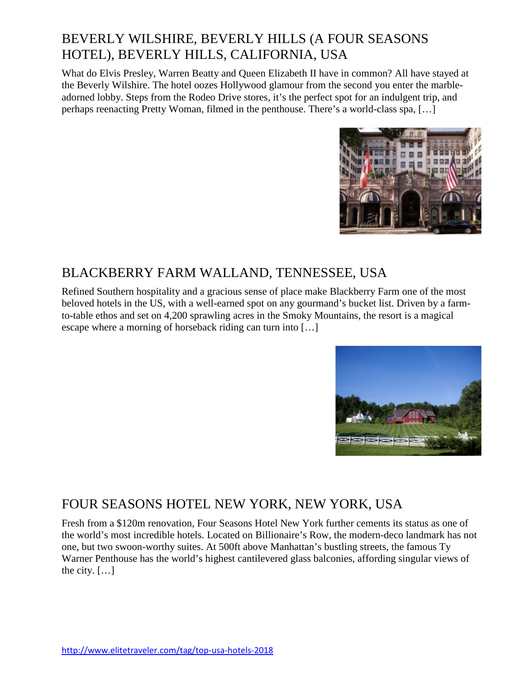### [BEVERLY WILSHIRE, BEVERLY HILLS \(A FOUR SEASONS](http://www.elitetraveler.com/top-100-hotels/beverly-wilshire-beverly-hills-four-seasons-hotel-beverly-hills-california-usa)  [HOTEL\), BEVERLY HILLS, CALIFORNIA, USA](http://www.elitetraveler.com/top-100-hotels/beverly-wilshire-beverly-hills-four-seasons-hotel-beverly-hills-california-usa)

What do Elvis Presley, Warren Beatty and Queen Elizabeth II have in common? All have stayed at the Beverly Wilshire. The hotel oozes Hollywood glamour from the second you enter the marbleadorned lobby. Steps from the Rodeo Drive stores, it's the perfect spot for an indulgent trip, and perhaps reenacting Pretty Woman, filmed in the penthouse. There's a world-class spa, […]



#### [BLACKBERRY FARM WALLAND, TENNESSEE, USA](http://www.elitetraveler.com/top-100-hotels/blackberry-farm-walland-tennessee-usa)

Refined Southern hospitality and a gracious sense of place make Blackberry Farm one of the most beloved hotels in the US, with a well-earned spot on any gourmand's bucket list. Driven by a farmto-table ethos and set on 4,200 sprawling acres in the Smoky Mountains, the resort is a magical escape where a morning of horseback riding can turn into […]



#### [FOUR SEASONS HOTEL NEW YORK, NEW YORK, USA](http://www.elitetraveler.com/top-100-hotels/four-seasons-hotel-new-york-new-york-usa)

Fresh from a \$120m renovation, Four Seasons Hotel New York further cements its status as one of the world's most incredible hotels. Located on Billionaire's Row, the modern-deco landmark has not one, but two swoon-worthy suites. At 500ft above Manhattan's bustling streets, the famous Ty Warner Penthouse has the world's highest cantilevered glass balconies, affording singular views of the city.  $[\dots]$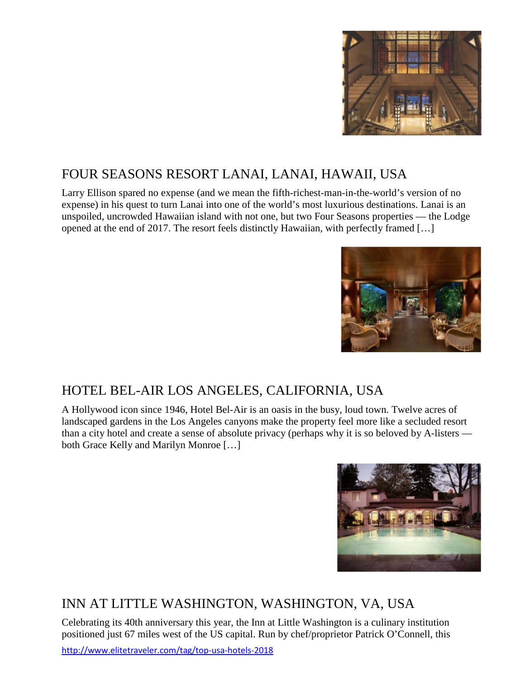

# [FOUR SEASONS RESORT LANAI, LANAI, HAWAII, USA](http://www.elitetraveler.com/top-100-hotels/four-seasons-resort-lanai-lanai-hawaii-usa)

Larry Ellison spared no expense (and we mean the fifth-richest-man-in-the-world's version of no expense) in his quest to turn Lanai into one of the world's most luxurious destinations. Lanai is an unspoiled, uncrowded Hawaiian island with not one, but two Four Seasons properties — the Lodge opened at the end of 2017. The resort feels distinctly Hawaiian, with perfectly framed […]



# [HOTEL BEL-AIR LOS ANGELES, CALIFORNIA, USA](http://www.elitetraveler.com/top-100-hotels/hotel-bel-air-los-angeles-california-usa)

A Hollywood icon since 1946, Hotel Bel-Air is an oasis in the busy, loud town. Twelve acres of landscaped gardens in the Los Angeles canyons make the property feel more like a secluded resort than a city hotel and create a sense of absolute privacy (perhaps why it is so beloved by A-listers both Grace Kelly and Marilyn Monroe […]



# [INN AT LITTLE WASHINGTON, WASHINGTON, VA, USA](http://www.elitetraveler.com/top-100-hotels/inn-little-washington-washington-va-usa)

Celebrating its 40th anniversary this year, the Inn at Little Washington is a culinary institution positioned just 67 miles west of the US capital. Run by chef/proprietor Patrick O'Connell, this

<http://www.elitetraveler.com/tag/top-usa-hotels-2018>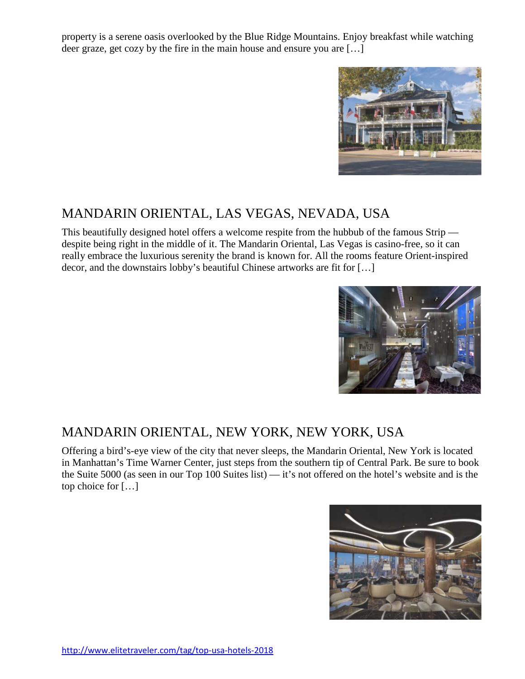property is a serene oasis overlooked by the Blue Ridge Mountains. Enjoy breakfast while watching deer graze, get cozy by the fire in the main house and ensure you are […]



#### [MANDARIN ORIENTAL, LAS VEGAS, NEVADA, USA](http://www.elitetraveler.com/top-100-hotels/mandarin-oriental-las-vegas-nevada-usa)

This beautifully designed hotel offers a welcome respite from the hubbub of the famous Strip despite being right in the middle of it. The Mandarin Oriental, Las Vegas is casino-free, so it can really embrace the luxurious serenity the brand is known for. All the rooms feature Orient-inspired decor, and the downstairs lobby's beautiful Chinese artworks are fit for […]



#### [MANDARIN ORIENTAL, NEW YORK, NEW YORK, USA](http://www.elitetraveler.com/top-100-hotels/mandarin-oriental-new-york-new-york-usa)

Offering a bird's-eye view of the city that never sleeps, the Mandarin Oriental, New York is located in Manhattan's Time Warner Center, just steps from the southern tip of Central Park. Be sure to book the Suite 5000 (as seen in our Top 100 Suites list) — it's not offered on the hotel's website and is the top choice for […]

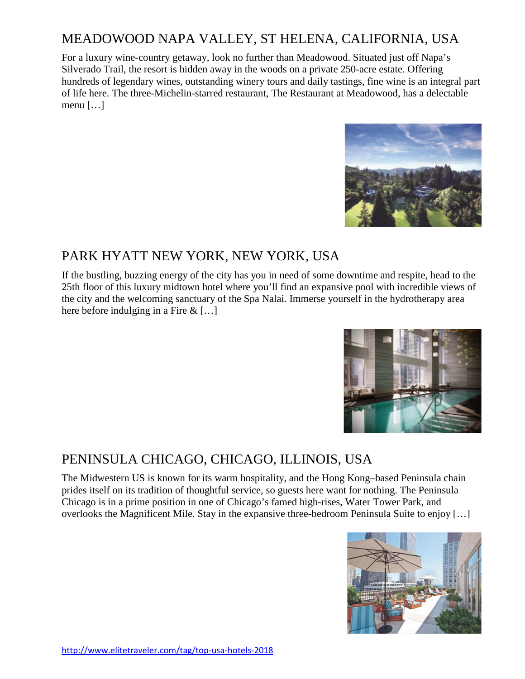# [MEADOWOOD NAPA VALLEY, ST HELENA, CALIFORNIA, USA](http://www.elitetraveler.com/top-100-hotels/meadowood-napa-valley-st-helena-california-usa)

For a luxury wine-country getaway, look no further than Meadowood. Situated just off Napa's Silverado Trail, the resort is hidden away in the woods on a private 250-acre estate. Offering hundreds of legendary wines, outstanding winery tours and daily tastings, fine wine is an integral part of life here. The three-Michelin-starred restaurant, The Restaurant at Meadowood, has a delectable menu […]



#### [PARK HYATT NEW YORK,](http://www.elitetraveler.com/top-100-hotels/park-hyatt-new-york-new-york-usa) NEW YORK, USA

If the bustling, buzzing energy of the city has you in need of some downtime and respite, head to the 25th floor of this luxury midtown hotel where you'll find an expansive pool with incredible views of the city and the welcoming sanctuary of the Spa Nalai. Immerse yourself in the hydrotherapy area here before indulging in a Fire & […]



# [PENINSULA CHICAGO, CHICAGO, ILLINOIS, USA](http://www.elitetraveler.com/top-100-hotels/peninsula-chicago-chicago-illinois-usa)

The Midwestern US is known for its warm hospitality, and the Hong Kong–based Peninsula chain prides itself on its tradition of thoughtful service, so guests here want for nothing. The Peninsula Chicago is in a prime position in one of Chicago's famed high-rises, Water Tower Park, and overlooks the Magnificent Mile. Stay in the expansive three-bedroom Peninsula Suite to enjoy […]

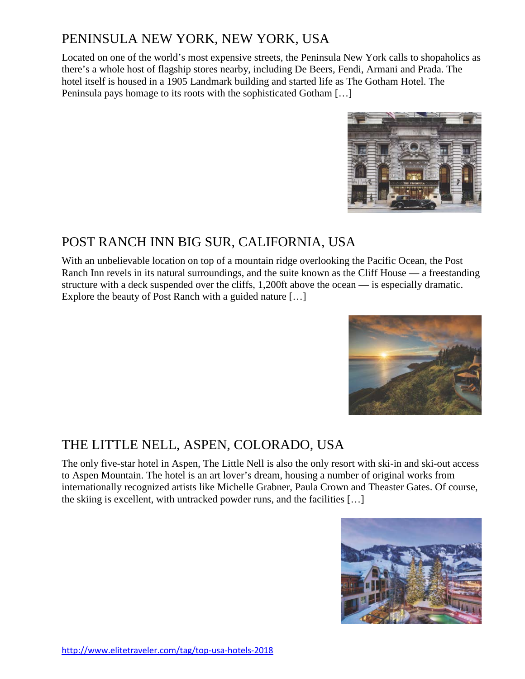# [PENINSULA NEW YORK, NEW YORK, USA](http://www.elitetraveler.com/top-100-hotels/peninsula-new-york-new-york-usa)

Located on one of the world's most expensive streets, the Peninsula New York calls to shopaholics as there's a whole host of flagship stores nearby, including De Beers, Fendi, Armani and Prada. The hotel itself is housed in a 1905 Landmark building and started life as The Gotham Hotel. The Peninsula pays homage to its roots with the sophisticated Gotham […]



# [POST RANCH INN BIG SUR, CALIFORNIA, USA](http://www.elitetraveler.com/top-100-hotels/post-ranch-inn-big-sur-california-usa)

With an unbelievable location on top of a mountain ridge overlooking the Pacific Ocean, the Post Ranch Inn revels in its natural surroundings, and the suite known as the Cliff House — a freestanding structure with a deck suspended over the cliffs, 1,200ft above the ocean — is especially dramatic. Explore the beauty of Post Ranch with a guided nature […]



# [THE LITTLE NELL, ASPEN, COLORADO, USA](http://www.elitetraveler.com/top-100-hotels/little-nell-aspen-colorado-usa)

The only five-star hotel in Aspen, The Little Nell is also the only resort with ski-in and ski-out access to Aspen Mountain. The hotel is an art lover's dream, housing a number of original works from internationally recognized artists like Michelle Grabner, Paula Crown and Theaster Gates. Of course, the skiing is excellent, with untracked powder runs, and the facilities […]

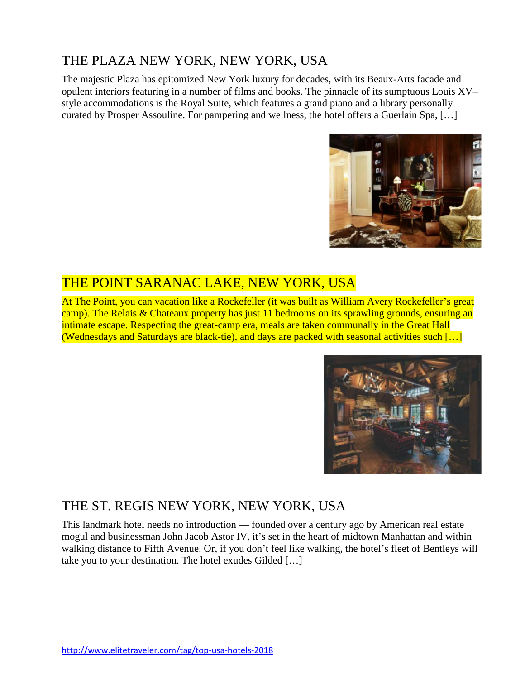# [THE PLAZA NEW YORK, NEW YORK, USA](http://www.elitetraveler.com/top-100-hotels/plaza-new-york-new-york-usa)

The majestic Plaza has epitomized New York luxury for decades, with its Beaux-Arts facade and opulent interiors featuring in a number of films and books. The pinnacle of its sumptuous Louis XV– style accommodations is the Royal Suite, which features a grand piano and a library personally curated by Prosper Assouline. For pampering and wellness, the hotel offers a Guerlain Spa, […]



#### [THE POINT SARANAC LAKE, NEW YORK, USA](http://www.elitetraveler.com/top-100-hotels/point-saranac-lake-new-york-usa)

At The Point, you can vacation like a Rockefeller (it was built as William Avery Rockefeller's great camp). The Relais & Chateaux property has just 11 bedrooms on its sprawling grounds, ensuring an intimate escape. Respecting the great-camp era, meals are taken communally in the Great Hall (Wednesdays and Saturdays are black-tie), and days are packed with seasonal activities such […]



#### [THE ST. REGIS NEW YORK, NEW YORK,](http://www.elitetraveler.com/top-100-hotels/st-regis-new-york-new-york-usa) USA

This landmark hotel needs no introduction — founded over a century ago by American real estate mogul and businessman John Jacob Astor IV, it's set in the heart of midtown Manhattan and within walking distance to Fifth Avenue. Or, if you don't feel like walking, the hotel's fleet of Bentleys will take you to your destination. The hotel exudes Gilded […]